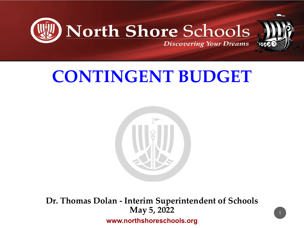



# **CONTINGENT BUDGET**



**Dr. Thomas Dolan - Interim Superintendent of Schools May 5, 2022 www.northshoreschools.org**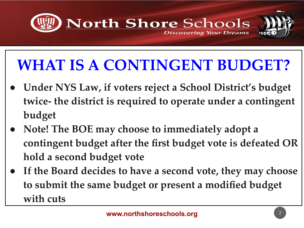

# **WHAT IS A CONTINGENT BUDGET?**

- **● Under NYS Law, if voters reject a School District's budget twice- the district is required to operate under a contingent budget**
- **● Note! The BOE may choose to immediately adopt a contingent budget after the first budget vote is defeated OR hold a second budget vote**
- **● If the Board decides to have a second vote, they may choose to submit the same budget or present a modified budget with cuts**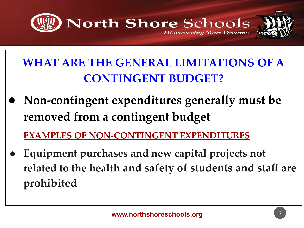

**WHAT ARE THE GENERAL LIMITATIONS OF A CONTINGENT BUDGET?**

*●* **Non-contingent expenditures generally must be removed from a contingent budget**

**EXAMPLES OF NON-CONTINGENT EXPENDITURES**

*●* **Equipment purchases and new capital projects not related to the health and safety of students and staff are prohibited**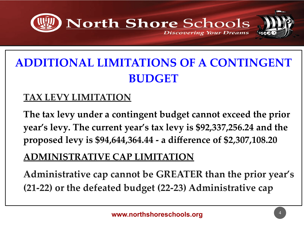

### **ADDITIONAL LIMITATIONS OF A CONTINGENT BUDGET**

#### **TAX LEVY LIMITATION**

**The tax levy under a contingent budget cannot exceed the prior year's levy. The current year's tax levy is \$92,337,256.24 and the proposed levy is \$94,644,364.44 - a difference of \$2,307,108.20**

### **ADMINISTRATIVE CAP LIMITATION**

**Administrative cap cannot be GREATER than the prior year's (21-22) or the defeated budget (22-23) Administrative cap**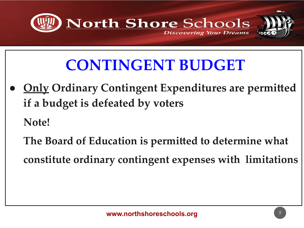

## **CONTINGENT BUDGET**

**<u>Only</u> Ordinary Contingent Expenditures are permitted</u> if a budget is defeated by voters**

**Note!** 

**The Board of Education is permitted to determine what** 

**constitute ordinary contingent expenses with limitations**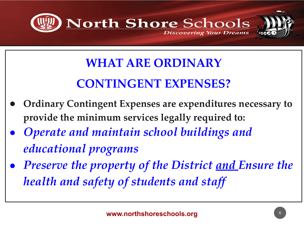

## **WHAT ARE ORDINARY CONTINGENT EXPENSES?**

- **● Ordinary Contingent Expenses are expenditures necessary to provide the minimum services legally required to:**
- *● Operate and maintain school buildings and educational programs*
- *● Preserve the property of the District and Ensure the health and safety of students and staff*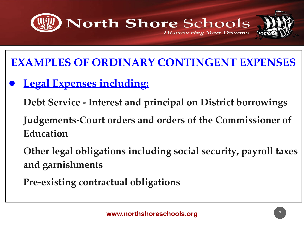

**EXAMPLES OF ORDINARY CONTINGENT EXPENSES**

**Legal Expenses including:** 

**Debt Service - Interest and principal on District borrowings**

**Judgements-Court orders and orders of the Commissioner of Education**

**Other legal obligations including social security, payroll taxes and garnishments**

**Pre-existing contractual obligations**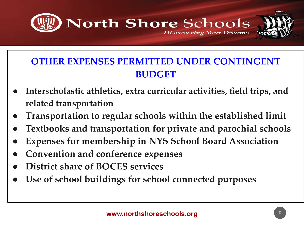

### **OTHER EXPENSES PERMITTED UNDER CONTINGENT BUDGET**

- **● Interscholastic athletics, extra curricular activities, field trips, and related transportation**
- **● Transportation to regular schools within the established limit**
- **● Textbooks and transportation for private and parochial schools**
- **Expenses for membership in NYS School Board Association**
- **● Convention and conference expenses**
- **● District share of BOCES services**

**● Use of school buildings for school connected purposes**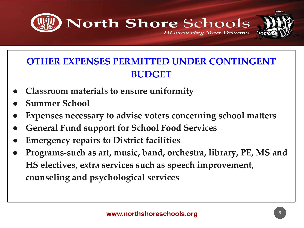

### **OTHER EXPENSES PERMITTED UNDER CONTINGENT BUDGET**

- **● Classroom materials to ensure uniformity**
- **● Summer School**
- **Expenses necessary to advise voters concerning school matters**
- **● General Fund support for School Food Services**
- **● Emergency repairs to District facilities**
- **● Programs-such as art, music, band, orchestra, library, PE, MS and HS electives, extra services such as speech improvement, counseling and psychological services**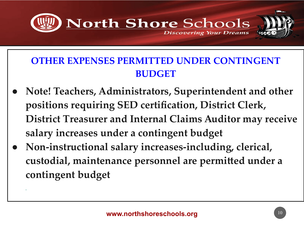

### **OTHER EXPENSES PERMITTED UNDER CONTINGENT BUDGET**

- **● Note! Teachers, Administrators, Superintendent and other positions requiring SED certification, District Clerk, District Treasurer and Internal Claims Auditor may receive salary increases under a contingent budget**
- **● Non-instructional salary increases-including, clerical, custodial, maintenance personnel are permitted under a contingent budget**

**.**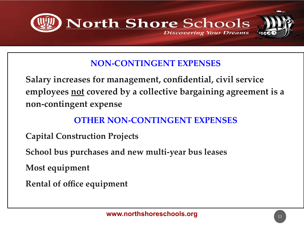

#### **NON-CONTINGENT EXPENSES**

**Salary increases for management, confidential, civil service employees not covered by a collective bargaining agreement is a non-contingent expense**

#### **OTHER NON-CONTINGENT EXPENSES**

- **Capital Construction Projects**
- **School bus purchases and new multi-year bus leases**

**Most equipment**

**Rental of office equipment**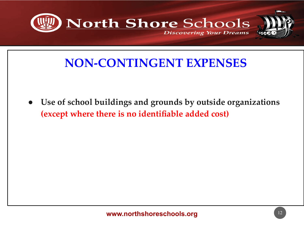

### **NON-CONTINGENT EXPENSES**

**● Use of school buildings and grounds by outside organizations (except where there is no identifiable added cost)**